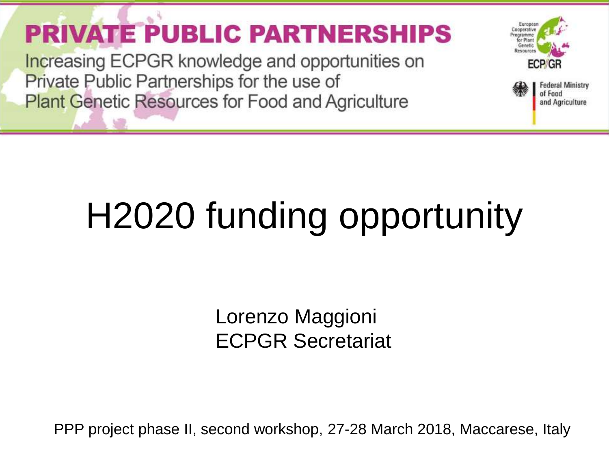### **PRIVATE PUBLIC PARTNERSHIPS**

Increasing ECPGR knowledge and opportunities on Private Public Partnerships for the use of **Plant Genetic Resources for Food and Agriculture** 



# H2020 funding opportunity

Lorenzo Maggioni ECPGR Secretariat

PPP project phase II, second workshop, 27-28 March 2018, Maccarese, Italy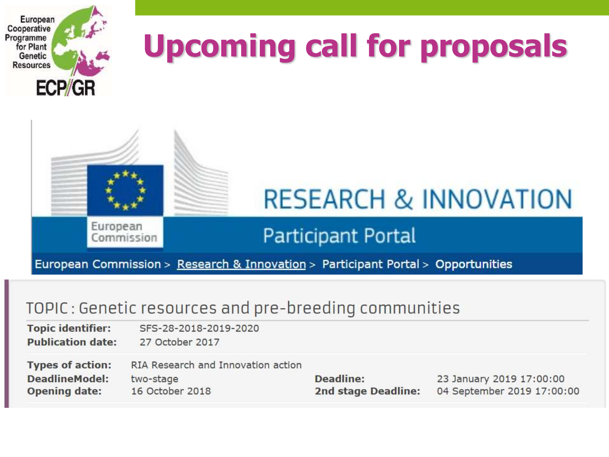

#### TOPIC: Genetic resources and pre-breeding communities

**Topic identifier:** SFS-28-2018-2019-2020

**Publication date:** 27 October 2017

| <b>Types of action:</b> | RIA Research and Innovation action |                            |                            |
|-------------------------|------------------------------------|----------------------------|----------------------------|
| <b>DeadlineModel:</b>   | two-stage                          | <b>Deadline:</b>           | 23 January 2019 17:00:00   |
| <b>Opening date:</b>    | 16 October 2018                    | <b>2nd stage Deadline:</b> | 04 September 2019 17:00:00 |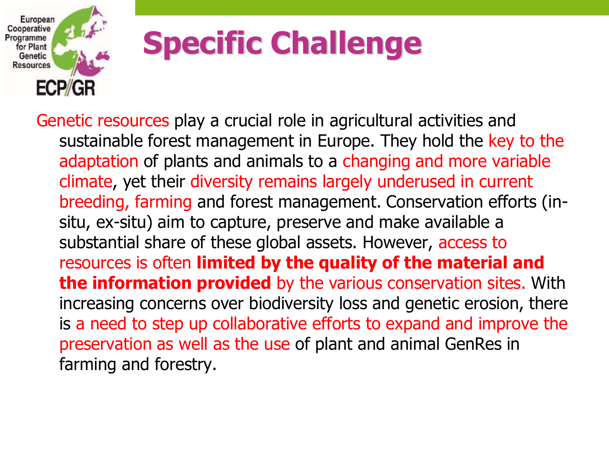

# **Specific Challenge**

Genetic resources play a crucial role in agricultural activities and sustainable forest management in Europe. They hold the key to the adaptation of plants and animals to a changing and more variable climate, yet their diversity remains largely underused in current breeding, farming and forest management. Conservation efforts (insitu, ex-situ) aim to capture, preserve and make available a substantial share of these global assets. However, access to resources is often **limited by the quality of the material and the information provided** by the various conservation sites. With increasing concerns over biodiversity loss and genetic erosion, there is a need to step up collaborative efforts to expand and improve the preservation as well as the use of plant and animal GenRes in farming and forestry.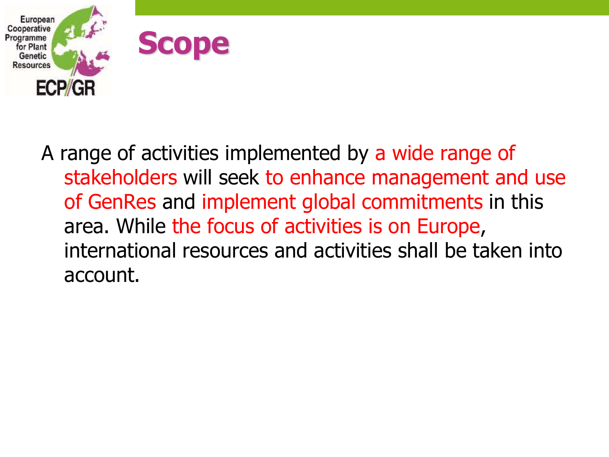

A range of activities implemented by a wide range of stakeholders will seek to enhance management and use of GenRes and implement global commitments in this area. While the focus of activities is on Europe, international resources and activities shall be taken into account.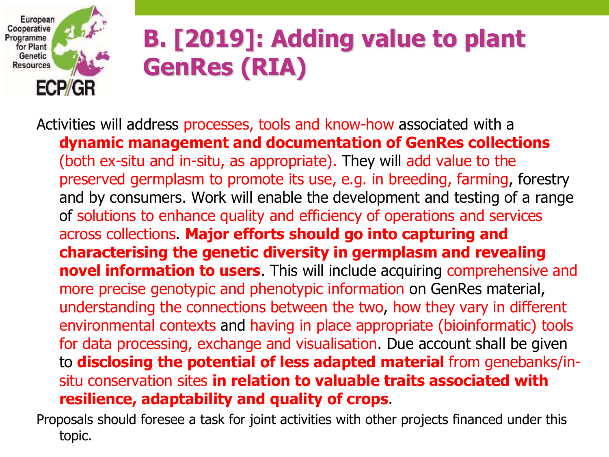

### **B. [2019]: Adding value to plant GenRes (RIA)**

Activities will address processes, tools and know-how associated with a **dynamic management and documentation of GenRes collections**  (both ex-situ and in-situ, as appropriate). They will add value to the preserved germplasm to promote its use, e.g. in breeding, farming, forestry and by consumers. Work will enable the development and testing of a range of solutions to enhance quality and efficiency of operations and services across collections. **Major efforts should go into capturing and characterising the genetic diversity in germplasm and revealing novel information to users**. This will include acquiring comprehensive and more precise genotypic and phenotypic information on GenRes material, understanding the connections between the two, how they vary in different environmental contexts and having in place appropriate (bioinformatic) tools for data processing, exchange and visualisation. Due account shall be given to **disclosing the potential of less adapted material** from genebanks/insitu conservation sites **in relation to valuable traits associated with resilience, adaptability and quality of crops**.

Proposals should foresee a task for joint activities with other projects financed under this topic.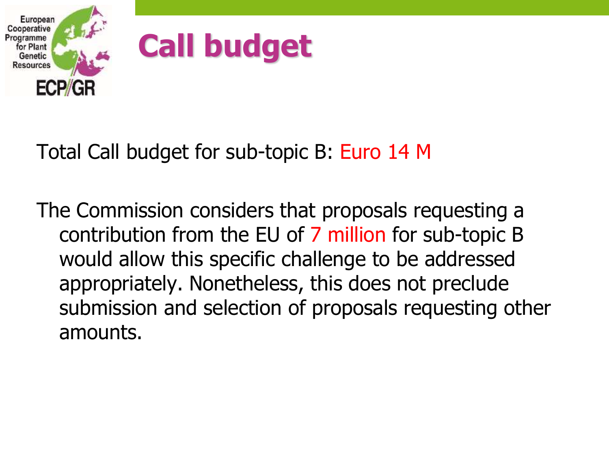

Total Call budget for sub-topic B: Euro 14 M

The Commission considers that proposals requesting a contribution from the EU of 7 million for sub-topic B would allow this specific challenge to be addressed appropriately. Nonetheless, this does not preclude submission and selection of proposals requesting other amounts.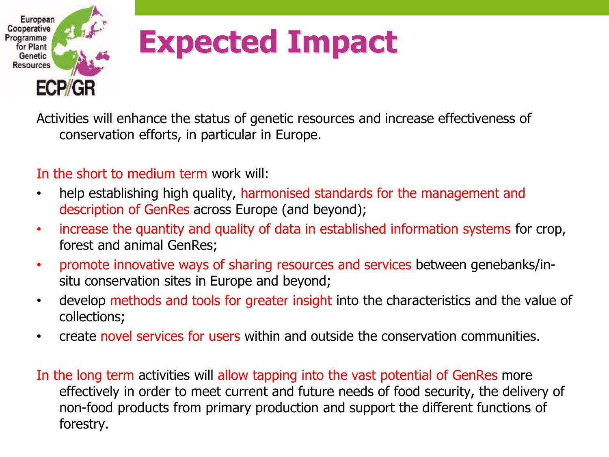

## **Expected Impact**

Activities will enhance the status of genetic resources and increase effectiveness of conservation efforts, in particular in Europe.

In the short to medium term work will:

- help establishing high quality, harmonised standards for the management and description of GenRes across Europe (and beyond);
- increase the quantity and quality of data in established information systems for crop, forest and animal GenRes;
- promote innovative ways of sharing resources and services between genebanks/insitu conservation sites in Europe and beyond;
- develop methods and tools for greater insight into the characteristics and the value of collections;
- create novel services for users within and outside the conservation communities.

In the long term activities will allow tapping into the vast potential of GenRes more effectively in order to meet current and future needs of food security, the delivery of non-food products from primary production and support the different functions of forestry.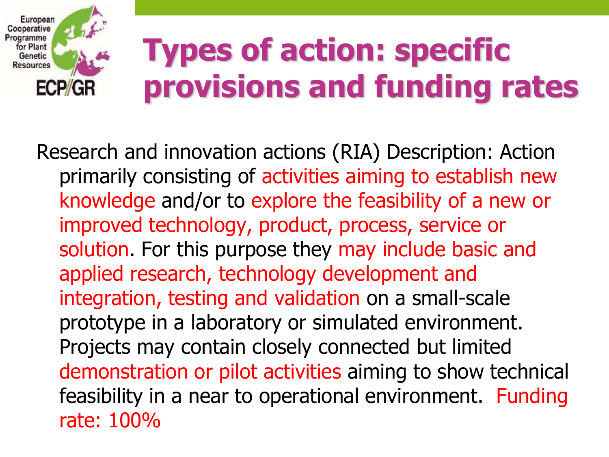#### European Cooperative Programme **Types of action: specific**  for Plant Genetic **provisions and funding rates** ECP/GR

Research and innovation actions (RIA) Description: Action primarily consisting of activities aiming to establish new knowledge and/or to explore the feasibility of a new or improved technology, product, process, service or solution. For this purpose they may include basic and applied research, technology development and integration, testing and validation on a small-scale prototype in a laboratory or simulated environment. Projects may contain closely connected but limited demonstration or pilot activities aiming to show technical feasibility in a near to operational environment. Funding rate: 100%